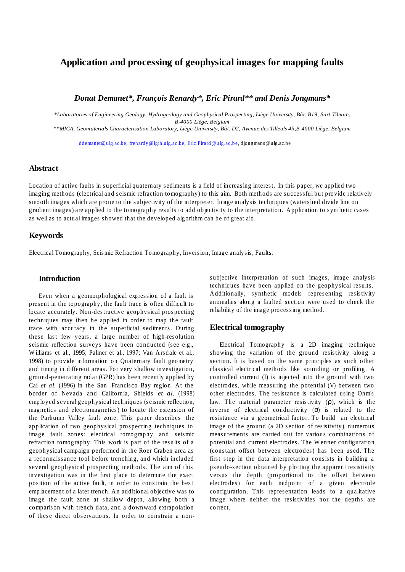# **Application and processing of geophysical images for mapping faults**

*Donat Demanet\*, François Renardy\*, Eric Pirard\*\* and Denis Jongmans\**

*\*Laboratories of Engineering Geology, Hydrogeology and Geophysical Prospecting, Liège University, Bât. B19, Sart-Tilman, B-4000 Liège, Belgium*

*\*\*MICA, Geomaterials Characterisation Laboratory, Liège University, Bât. D2, Avenue des Tilleuls 45,B-4000 Liège, Belgium* 

ddemanet@ulg.ac.be*,* frenardy@lgih.ulg.ac.be*,* Eric.Pirard@ulg.ac.be, djongmans@ulg.ac.be

# **Abstract**

Location of active faults in superficial quaternary sediments is a field of increasing interest. In this paper, we applied two imaging methods (electrical and seismic refraction tomography) to this aim. Both methods are successful but provide relatively smooth images which are prone to the subjectivity of the interpreter. Image analysis techniques (watershed divide line on gradient images) are applied to the tomography results to add objectivity to the interpretation. Application to synthetic cases as well as to actual images showed that the developed algorithm can be of great aid.

### **Keywords**

Electrical Tomography, Seismic Refraction Tomography, Inversion, Image analysis, Faults.

### **Introduction**

Even when a geomorphological expression of a fault is present in the topography, the fault trace is often difficult to locate accurately. Non-destructive geophysical prospecting techniques may then be applied in order to map the fault trace with accuracy in the superficial sediments. During these last few years, a large number of high-resolution seismic reflection surveys have been conducted (see e.g., Williams et al., 1995; Palmer et al., 1997; Van Arsdale et al., 1998) to provide information on Quaternary fault geometry and timing in different areas. For very shallow investigation, ground-penetrating radar (GPR) has been recently applied by Cai *et al.* (1996) in the San Francisco Bay region. At the border of Nevada and California, Shields *et al*. (1998) employed several geophysical techniques (seismic reflection, magnetics and electromagnetics) to locate the extension of the Parhump Valley fault zone. This paper describes the application of two geophysical prospecting techniques to image fault zones: electrical tomography and seismic refraction tomography. This work is part of the results of a geophysical campaign performed in the Roer Graben area as a reconnaissance tool before trenching, and which included several geophysical prospecting methods. The aim of this investigation was in the first place to determine the exact position of the active fault, in order to constrain the best emplacement of a later trench. An additional objective was to image the fault zone at shallow depth, allowing both a comparison with trench data, and a downward extrapolation of these direct observations. In order to constrain a nonsubjective interpretation of such images, image analysis techniques have been applied on the geophysical results. Additionally, synthetic models representing resistivity anomalies along a faulted section were used to check the reliability of the image processing method.

#### **Electrical tomography**

Electrical Tomography is a 2D imaging technique showing the variation of the ground resistivity along a section. It is based on the same principles as such other classical electrical methods like sounding or profiling. A controlled current (I) is injected into the ground with two electrodes, while measuring the potential (V) between two other electrodes. The resistance is calculated using Ohm's law. The material parameter resistivity (ρ), which is the inverse of electrical conductivity  $(σ)$  is related to the resistance via a geometrical factor. To build an electrical image of the ground (a 2D section of resistivity), numerous measurements are carried out for various combinations of potential and current electrodes. The Wenner configuration (constant offset between electrodes) has been used. The first step in the data interpretation consists in building a pseudo-section obtained by plotting the apparent resistivity versus the depth (proportional to the offset between electrodes) for each midpoint of a given electrode configuration. This representation leads to a qualitative image where neither the resistivities nor the depths are correct.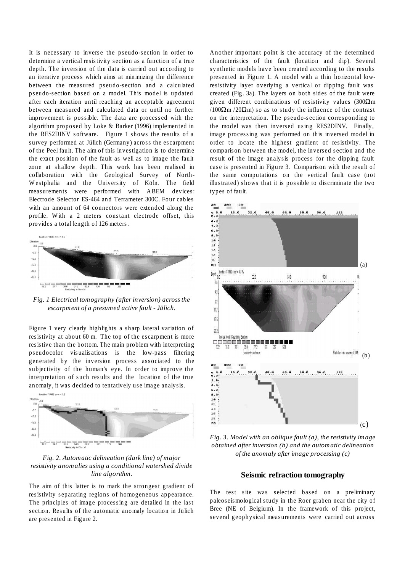It is necessary to inverse the pseudo-section in order to determine a vertical resistivity section as a function of a true depth. The inversion of the data is carried out according to an iterative process which aims at minimizing the difference between the measured pseudo-section and a calculated pseudo-section based on a model. This model is updated after each iteration until reaching an acceptable agreement between measured and calculated data or until no further improvement is possible. The data are processed with the algorithm proposed by Loke & Barker (1996) implemented in the RES2DINV software. Figure 1 shows the results of a survey performed at Jülich (Germany) across the escarpment of the Peel fault. The aim of this investigation is to determine the exact position of the fault as well as to image the fault zone at shallow depth. This work has been realised in collaboration with the Geological Survey of North-Westphalia and the University of Köln. The field measurements were performed with ABEM devices: Electrode Selector ES-464 and Terrameter 300C. Four cables with an amount of 64 connectors were extended along the profile. With a 2 meters constant electrode offset, this provides a total length of 126 meters.



*Fig. 1 Electrical tomography (after inversion) across the escarpment of a presumed active fault - Jülich.*

Figure 1 very clearly highlights a sharp lateral variation of resistivity at about 60 m. The top of the escarpment is more resistive than the bottom. The main problem with interpreting pseudocolor visualisations is the low-pass filtering generated by the inversion process associated to the subjectivity of the human's eye. In order to improve the interpretation of such results and the location of the true anomaly, it was decided to tentatively use image analysis.



*Fig. 2. Automatic delineation (dark line) of major resistivity anomalies using a conditional watershed divide line algorithm.*

The aim of this latter is to mark the strongest gradient of resistivity separating regions of homogeneous appearance. The principles of image processing are detailed in the last section. Results of the automatic anomaly location in Jülich are presented in Figure 2.

Another important point is the accuracy of the determined characteristics of the fault (location and dip). Several synthetic models have been created according to the results presented in Figure 1. A model with a thin horizontal lowresistivity layer overlying a vertical or dipping fault was created (Fig. 3a). The layers on both sides of the fault were given different combinations of resistivity values (300Ωm  $/100\Omega$ m  $/20\Omega$ m) so as to study the influence of the contrast on the interpretation. The pseudo-section corresponding to the model was then inversed using RES2DINV. Finally, image processing was performed on this inversed model in order to locate the highest gradient of resistivity. The comparison between the model, the inversed section and the result of the image analysis process for the dipping fault case is presented in Figure 3. Comparison with the result of the same computations on the vertical fault case (not illustrated) shows that it is possible to discriminate the two types of fault.



*Fig. 3. Model with an oblique fault (a), the resistivity image obtained after inversion (b) and the automatic delineation of the anomaly after image processing (c)*

#### **Seismic refraction tomography**

The test site was selected based on a preliminary paleoseismological study in the Roer graben near the city of Bree (NE of Belgium). In the framework of this project, several geophysical measurements were carried out across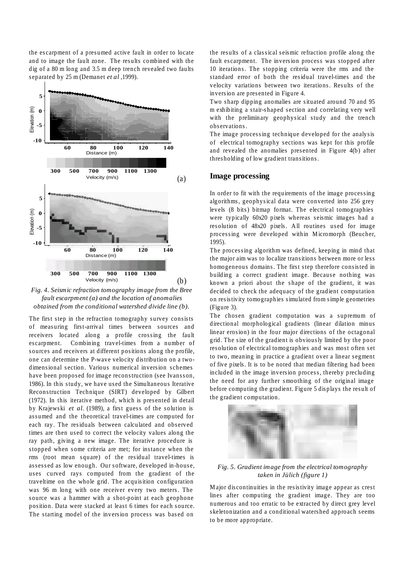the escarpment of a presumed active fault in order to locate and to image the fault zone. The results combined with the dig of a 80 m long and 3.5 m deep trench revealed two faults separated by 25 m (Demanet *et al* ,1999).



*Fig. 4. Seismic refraction tomography image from the Bree fault escarpment (a) and the location of anomalies obtained from the conditional watershed divide line (b).*

The first step in the refraction tomography survey consists of measuring first-arrival times between sources and receivers located along a profile crossing the fault escarpment. Combining travel-times from a number of sources and receivers at different positions along the profile, one can determine the P-wave velocity distribution on a twodimensional section. Various numerical inversion schemes have been proposed for image reconstruction (see Ivansson, 1986). In this study, we have used the Simultaneous Iterative Reconstruction Technique (SIRT) developed by Gilbert (1972). In this iterative method, which is presented in detail by Krajewski *et al*. (1989), a first guess of the solution is assumed and the theoretical travel-times are computed for each ray. The residuals between calculated and observed times are then used to correct the velocity values along the ray path, giving a new image. The iterative procedure is stopped when some criteria are met; for instance when the rms (root mean square) of the residual travel-times is assessed as low enough. Our software, developed in-house, uses curved rays computed from the gradient of the traveltime on the whole grid. The acquisition configuration was 96 m long with one receiver every two meters. The source was a hammer with a shot-point at each geophone position. Data were stacked at least 6 times for each source. The starting model of the inversion process was based on

the results of a classical seismic refraction profile along the fault escarpment. The inversion process was stopped after 10 iterations. The stopping criteria were the rms and the standard error of both the residual travel-times and the velocity variations between two iterations. Results of the inversion are presented in Figure 4.

Two sharp dipping anomalies are situated around 70 and 95 m exhibiting a stair-shaped section and correlating very well with the preliminary geophysical study and the trench observations.

The image processing technique developed for the analysis of electrical tomography sections was kept for this profile and revealed the anomalies presented in Figure 4(b) after thresholding of low gradient transitions.

#### **Image processing**

In order to fit with the requirements of the image processing algorithms, geophysical data were converted into 256 grey levels (8 bits) bitmap format. The electrical tomographies were typically 60x20 pixels whereas seismic images had a resolution of 48x20 pixels. All routines used for image processing were developed within Micromorph (Beucher, 1995).

The processing algorithm was defined, keeping in mind that the major aim was to localize transitions between more or less homogeneous domains. The first step therefore consisted in building a correct gradient image. Because nothing was known a priori about the shape of the gradient, it was decided to check the adequacy of the gradient computation on resistivity tomographies simulated from simple geometries (Figure 3).

The chosen gradient computation was a supremum of directional morphological gradients (linear dilation minus linear erosion) in the four major directions of the octagonal grid. The size of the gradient is obviously limited by the poor resolution of electrical tomographies and was most often set to two, meaning in practice a gradient over a linear segment of five pixels. It is to be noted that median filtering had been included in the image inversion process, thereby precluding the need for any further smoothing of the original image before computing the gradient. Figure 5 displays the result of the gradient computation.



*Fig. 5. Gradient image from the electrical tomography taken in Jülich (figure 1)*

Major discontinuities in the resistivity image appear as crest lines after computing the gradient image. They are too numerous and too erratic to be extracted by direct grey level skeletonization and a conditional watershed approach seems to be more appropriate.